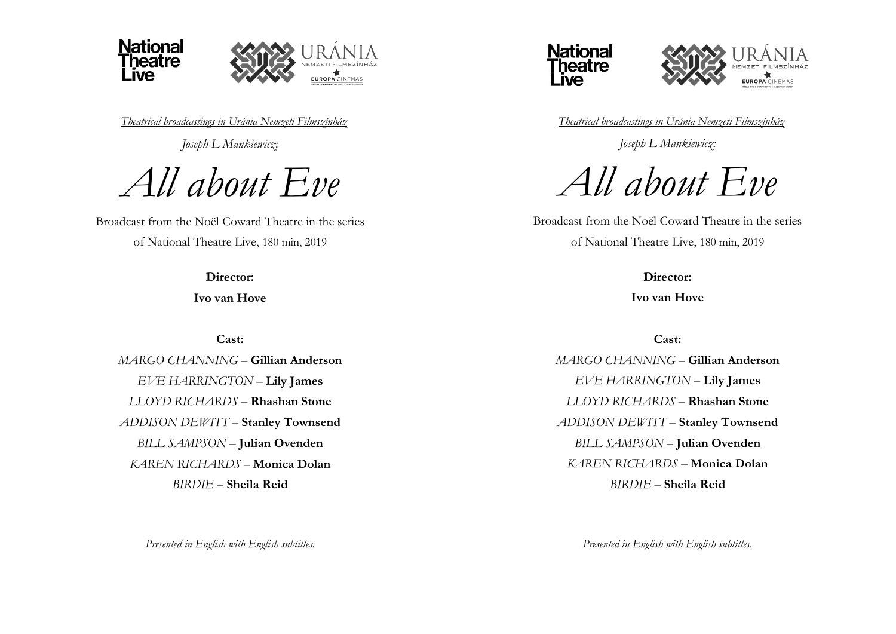

*Theatrical broadcastings in Uránia Nemzeti Filmszínház*

*Joseph L Mankiewicz:*

*All about Eve*

Broadcast from the Noël Coward Theatre in the series of National Theatre Live, 180 min, 2019

**Director:**

**Ivo van Hove**

**Cast:**

*MARGO CHANNING* – **Gillian Anderson** *EVE HARRINGTON* – **Lily James** *LLOYD RICHARDS* – **Rhashan Stone** *ADDISON DEWITT* – **Stanley Townsend** *BILL SAMPSON* – **Julian Ovenden** *KAREN RICHARDS* – **Monica Dolan** *BIRDIE* – **Sheila Reid**

*Presented in English with English subtitles.*





*Theatrical broadcastings in Uránia Nemzeti Filmszínház*

*Joseph L Mankiewicz:*

*All about Eve*

Broadcast from the Noël Coward Theatre in the series of National Theatre Live, 180 min, 2019

> **Director: Ivo van Hove**

> > **Cast:**

*MARGO CHANNING* – **Gillian Anderson** *EVE HARRINGTON* – **Lily James** *LLOYD RICHARDS* – **Rhashan Stone** *ADDISON DEWITT* – **Stanley Townsend** *BILL SAMPSON* – **Julian Ovenden** *KAREN RICHARDS* – **Monica Dolan** *BIRDIE* – **Sheila Reid**

*Presented in English with English subtitles.*